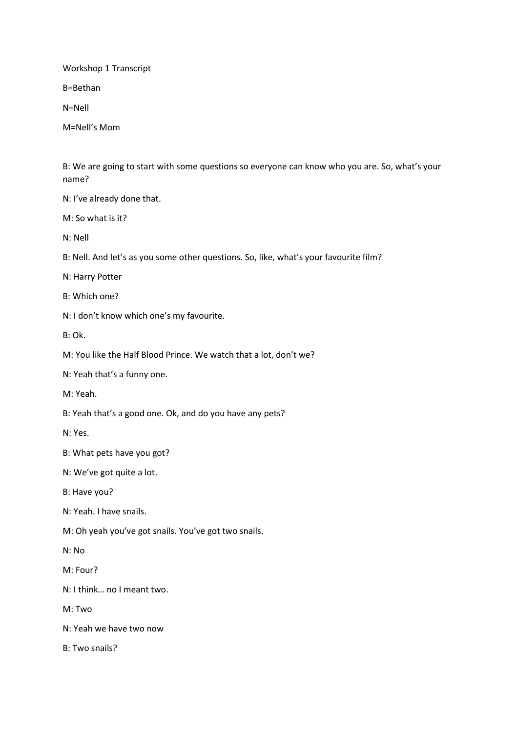Workshop 1 Transcript

B=Bethan

N=Nell

M=Nell's Mom

B: We are going to start with some questions so everyone can know who you are. So, what's your name?

N: I've already done that.

 $M·$  So what is it?

N: Nell

B: Nell. And let's as you some other questions. So, like, what's your favourite film?

N: Harry Potter

B: Which one?

N: I don't know which one's my favourite.

B: Ok.

M: You like the Half Blood Prince. We watch that a lot, don't we?

N: Yeah that's a funny one.

M: Yeah.

B: Yeah that's a good one. Ok, and do you have any pets?

N: Yes.

B: What pets have you got?

N: We've got quite a lot.

B: Have you?

N: Yeah. I have snails.

M: Oh yeah you've got snails. You've got two snails.

N: No

M: Four?

N: I think… no I meant two.

M: Two

N: Yeah we have two now

B: Two snails?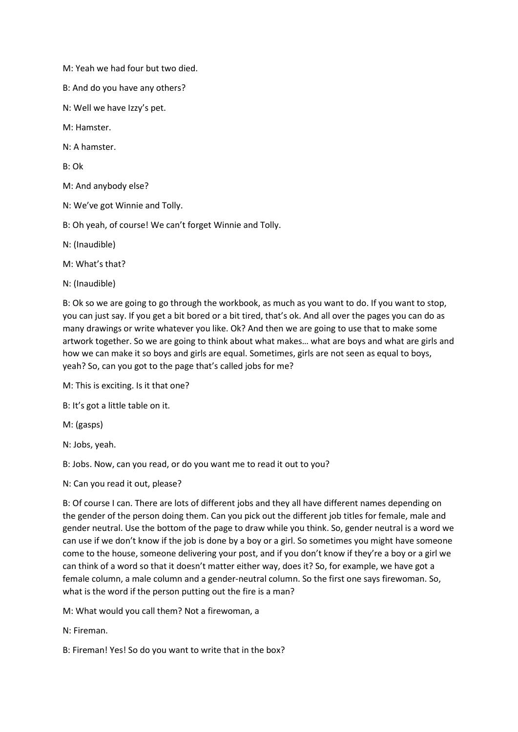M: Yeah we had four but two died.

B: And do you have any others?

N: Well we have Izzy's pet.

M: Hamster.

N: A hamster.

B: Ok

M: And anybody else?

N: We've got Winnie and Tolly.

B: Oh yeah, of course! We can't forget Winnie and Tolly.

N: (Inaudible)

M: What's that?

N: (Inaudible)

B: Ok so we are going to go through the workbook, as much as you want to do. If you want to stop, you can just say. If you get a bit bored or a bit tired, that's ok. And all over the pages you can do as many drawings or write whatever you like. Ok? And then we are going to use that to make some artwork together. So we are going to think about what makes… what are boys and what are girls and how we can make it so boys and girls are equal. Sometimes, girls are not seen as equal to boys, yeah? So, can you got to the page that's called jobs for me?

M: This is exciting. Is it that one?

B: It's got a little table on it.

M: (gasps)

N: Jobs, yeah.

B: Jobs. Now, can you read, or do you want me to read it out to you?

N: Can you read it out, please?

B: Of course I can. There are lots of different jobs and they all have different names depending on the gender of the person doing them. Can you pick out the different job titles for female, male and gender neutral. Use the bottom of the page to draw while you think. So, gender neutral is a word we can use if we don't know if the job is done by a boy or a girl. So sometimes you might have someone come to the house, someone delivering your post, and if you don't know if they're a boy or a girl we can think of a word so that it doesn't matter either way, does it? So, for example, we have got a female column, a male column and a gender-neutral column. So the first one says firewoman. So, what is the word if the person putting out the fire is a man?

M: What would you call them? Not a firewoman, a

N: Fireman.

B: Fireman! Yes! So do you want to write that in the box?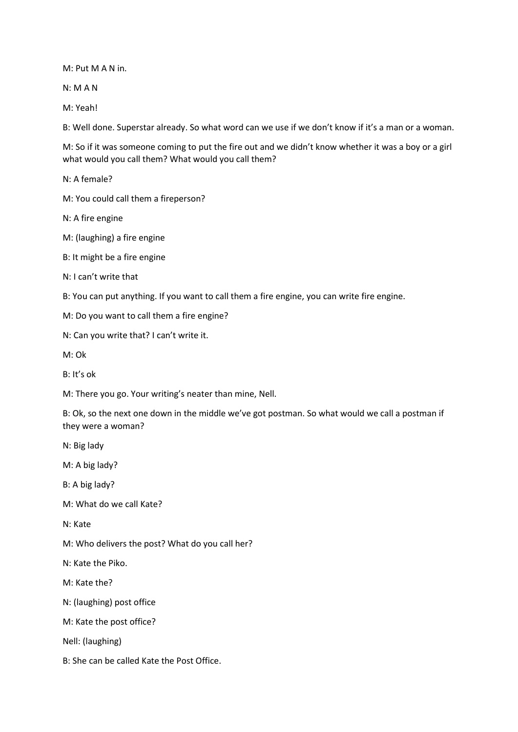M: Put M A N in.

N: M A N

M: Yeah!

B: Well done. Superstar already. So what word can we use if we don't know if it's a man or a woman.

M: So if it was someone coming to put the fire out and we didn't know whether it was a boy or a girl what would you call them? What would you call them?

N: A female?

M: You could call them a fireperson?

N: A fire engine

M: (laughing) a fire engine

B: It might be a fire engine

N: I can't write that

B: You can put anything. If you want to call them a fire engine, you can write fire engine.

M: Do you want to call them a fire engine?

N: Can you write that? I can't write it.

M: Ok

B: It's ok

M: There you go. Your writing's neater than mine, Nell.

B: Ok, so the next one down in the middle we've got postman. So what would we call a postman if they were a woman?

N: Big lady

M: A big lady?

B: A big lady?

M: What do we call Kate?

N: Kate

M: Who delivers the post? What do you call her?

N: Kate the Piko.

M: Kate the?

N: (laughing) post office

M: Kate the post office?

Nell: (laughing)

B: She can be called Kate the Post Office.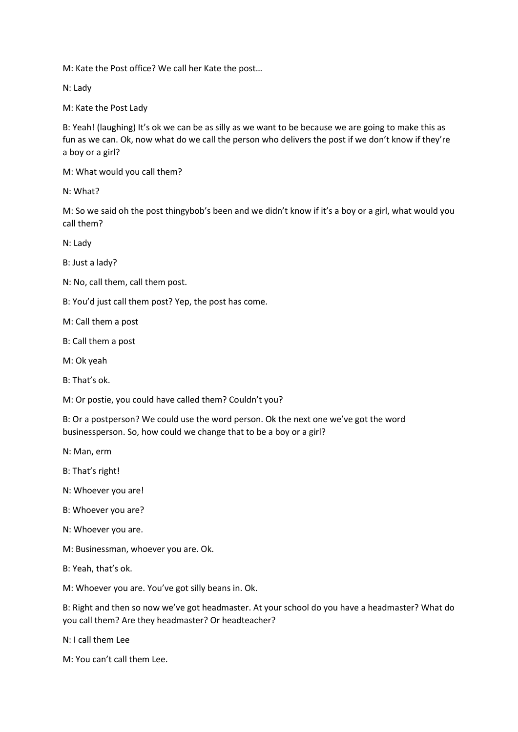M: Kate the Post office? We call her Kate the post…

N: Lady

M: Kate the Post Lady

B: Yeah! (laughing) It's ok we can be as silly as we want to be because we are going to make this as fun as we can. Ok, now what do we call the person who delivers the post if we don't know if they're a boy or a girl?

M: What would you call them?

N: What?

M: So we said oh the post thingybob's been and we didn't know if it's a boy or a girl, what would you call them?

N: Lady

B: Just a lady?

N: No, call them, call them post.

B: You'd just call them post? Yep, the post has come.

M: Call them a post

- B: Call them a post
- M: Ok yeah
- B: That's ok.

M: Or postie, you could have called them? Couldn't you?

B: Or a postperson? We could use the word person. Ok the next one we've got the word businessperson. So, how could we change that to be a boy or a girl?

N: Man, erm

B: That's right!

- N: Whoever you are!
- B: Whoever you are?
- N: Whoever you are.
- M: Businessman, whoever you are. Ok.

B: Yeah, that's ok.

M: Whoever you are. You've got silly beans in. Ok.

B: Right and then so now we've got headmaster. At your school do you have a headmaster? What do you call them? Are they headmaster? Or headteacher?

N: I call them Lee

M: You can't call them Lee.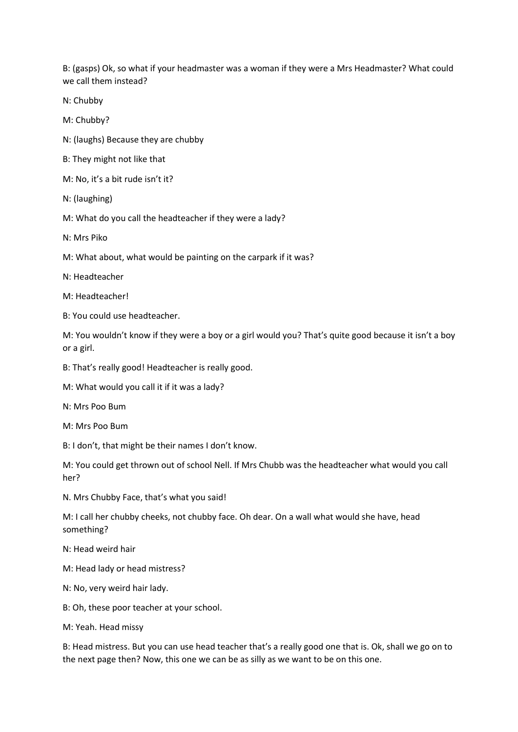B: (gasps) Ok, so what if your headmaster was a woman if they were a Mrs Headmaster? What could we call them instead?

N: Chubby

M: Chubby?

N: (laughs) Because they are chubby

B: They might not like that

M: No, it's a bit rude isn't it?

N: (laughing)

M: What do you call the headteacher if they were a lady?

N: Mrs Piko

M: What about, what would be painting on the carpark if it was?

N: Headteacher

M: Headteacher!

B: You could use headteacher.

M: You wouldn't know if they were a boy or a girl would you? That's quite good because it isn't a boy or a girl.

B: That's really good! Headteacher is really good.

M: What would you call it if it was a lady?

N: Mrs Poo Bum

M: Mrs Poo Bum

B: I don't, that might be their names I don't know.

M: You could get thrown out of school Nell. If Mrs Chubb was the headteacher what would you call her?

N. Mrs Chubby Face, that's what you said!

M: I call her chubby cheeks, not chubby face. Oh dear. On a wall what would she have, head something?

N: Head weird hair

M: Head lady or head mistress?

N: No, very weird hair lady.

B: Oh, these poor teacher at your school.

M: Yeah. Head missy

B: Head mistress. But you can use head teacher that's a really good one that is. Ok, shall we go on to the next page then? Now, this one we can be as silly as we want to be on this one.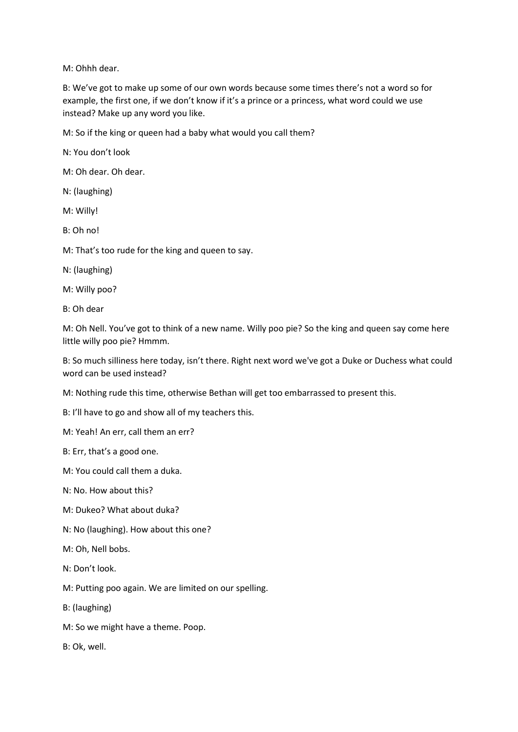M: Ohhh dear.

B: We've got to make up some of our own words because some times there's not a word so for example, the first one, if we don't know if it's a prince or a princess, what word could we use instead? Make up any word you like.

M: So if the king or queen had a baby what would you call them?

N: You don't look

M: Oh dear. Oh dear.

N: (laughing)

M: Willy!

B: Oh no!

M: That's too rude for the king and queen to say.

N: (laughing)

M: Willy poo?

B: Oh dear

M: Oh Nell. You've got to think of a new name. Willy poo pie? So the king and queen say come here little willy poo pie? Hmmm.

B: So much silliness here today, isn't there. Right next word we've got a Duke or Duchess what could word can be used instead?

M: Nothing rude this time, otherwise Bethan will get too embarrassed to present this.

B: I'll have to go and show all of my teachers this.

M: Yeah! An err, call them an err?

B: Err, that's a good one.

M: You could call them a duka.

N: No. How about this?

M: Dukeo? What about duka?

N: No (laughing). How about this one?

M: Oh, Nell bobs.

N: Don't look.

M: Putting poo again. We are limited on our spelling.

B: (laughing)

M: So we might have a theme. Poop.

B: Ok, well.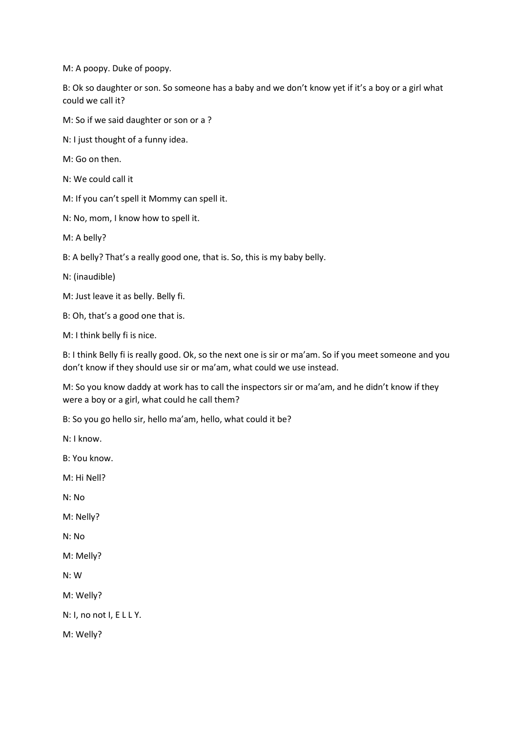M: A poopy. Duke of poopy.

B: Ok so daughter or son. So someone has a baby and we don't know yet if it's a boy or a girl what could we call it?

M: So if we said daughter or son or a ?

N: I just thought of a funny idea.

M: Go on then.

N: We could call it

M: If you can't spell it Mommy can spell it.

N: No, mom, I know how to spell it.

M: A belly?

B: A belly? That's a really good one, that is. So, this is my baby belly.

N: (inaudible)

M: Just leave it as belly. Belly fi.

B: Oh, that's a good one that is.

M: I think belly fi is nice.

B: I think Belly fi is really good. Ok, so the next one is sir or ma'am. So if you meet someone and you don't know if they should use sir or ma'am, what could we use instead.

M: So you know daddy at work has to call the inspectors sir or ma'am, and he didn't know if they were a boy or a girl, what could he call them?

B: So you go hello sir, hello ma'am, hello, what could it be?

N: I know. B: You know.

M: Hi Nell?

N: No

M: Nelly?

N: No

M: Melly?

N: W

M: Welly?

N: I, no not I, E L L Y.

M: Welly?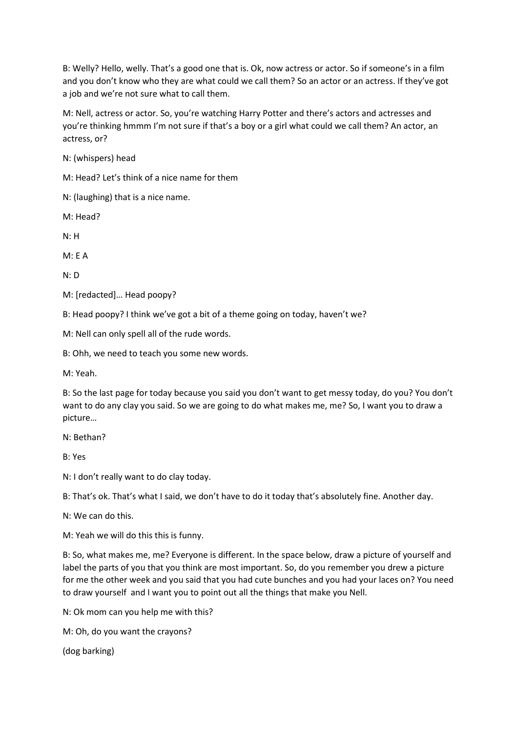B: Welly? Hello, welly. That's a good one that is. Ok, now actress or actor. So if someone's in a film and you don't know who they are what could we call them? So an actor or an actress. If they've got a job and we're not sure what to call them.

M: Nell, actress or actor. So, you're watching Harry Potter and there's actors and actresses and you're thinking hmmm I'm not sure if that's a boy or a girl what could we call them? An actor, an actress, or?

N: (whispers) head

M: Head? Let's think of a nice name for them

N: (laughing) that is a nice name.

M: Head?

N: H

M: E A

N: D

M: [redacted]… Head poopy?

B: Head poopy? I think we've got a bit of a theme going on today, haven't we?

M: Nell can only spell all of the rude words.

B: Ohh, we need to teach you some new words.

M: Yeah.

B: So the last page for today because you said you don't want to get messy today, do you? You don't want to do any clay you said. So we are going to do what makes me, me? So, I want you to draw a picture…

N: Bethan?

B: Yes

N: I don't really want to do clay today.

B: That's ok. That's what I said, we don't have to do it today that's absolutely fine. Another day.

N: We can do this.

M: Yeah we will do this this is funny.

B: So, what makes me, me? Everyone is different. In the space below, draw a picture of yourself and label the parts of you that you think are most important. So, do you remember you drew a picture for me the other week and you said that you had cute bunches and you had your laces on? You need to draw yourself and I want you to point out all the things that make you Nell.

N: Ok mom can you help me with this?

M: Oh, do you want the crayons?

(dog barking)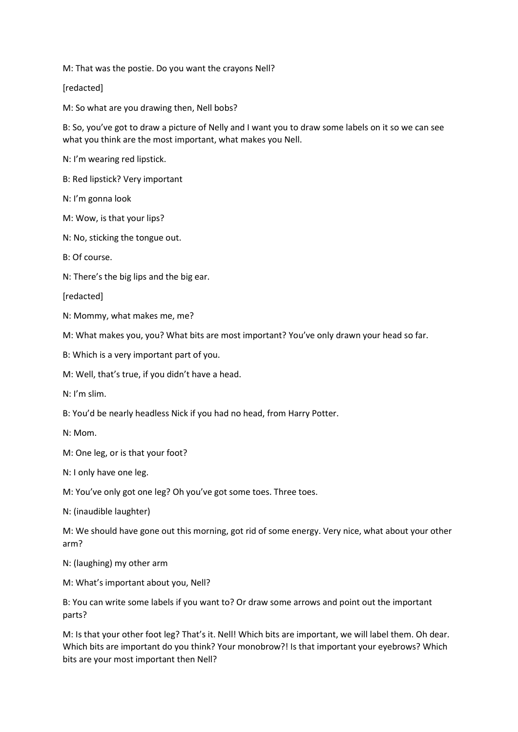M: That was the postie. Do you want the crayons Nell?

[redacted]

M: So what are you drawing then, Nell bobs?

B: So, you've got to draw a picture of Nelly and I want you to draw some labels on it so we can see what you think are the most important, what makes you Nell.

N: I'm wearing red lipstick.

B: Red lipstick? Very important

N: I'm gonna look

M: Wow, is that your lips?

N: No, sticking the tongue out.

B: Of course.

N: There's the big lips and the big ear.

[redacted]

N: Mommy, what makes me, me?

M: What makes you, you? What bits are most important? You've only drawn your head so far.

B: Which is a very important part of you.

M: Well, that's true, if you didn't have a head.

N: I'm slim.

B: You'd be nearly headless Nick if you had no head, from Harry Potter.

N: Mom.

M: One leg, or is that your foot?

N: I only have one leg.

M: You've only got one leg? Oh you've got some toes. Three toes.

N: (inaudible laughter)

M: We should have gone out this morning, got rid of some energy. Very nice, what about your other arm?

N: (laughing) my other arm

M: What's important about you, Nell?

B: You can write some labels if you want to? Or draw some arrows and point out the important parts?

M: Is that your other foot leg? That's it. Nell! Which bits are important, we will label them. Oh dear. Which bits are important do you think? Your monobrow?! Is that important your eyebrows? Which bits are your most important then Nell?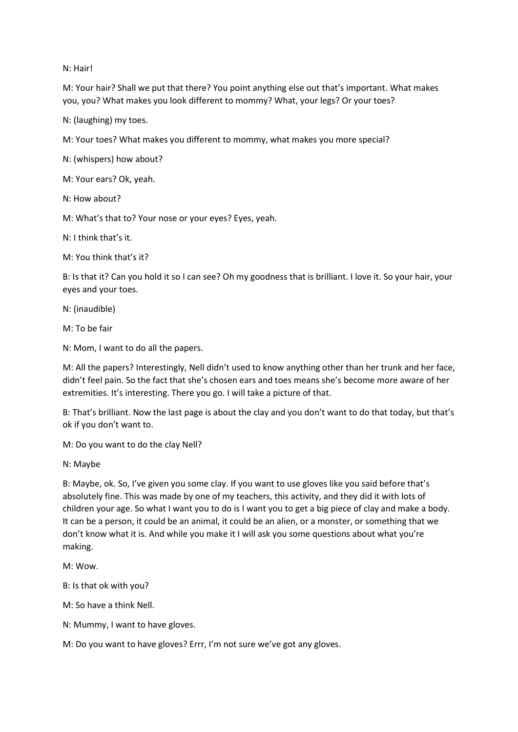N: Hair!

M: Your hair? Shall we put that there? You point anything else out that's important. What makes you, you? What makes you look different to mommy? What, your legs? Or your toes?

N: (laughing) my toes.

M: Your toes? What makes you different to mommy, what makes you more special?

N: (whispers) how about?

M: Your ears? Ok, yeah.

N: How about?

M: What's that to? Your nose or your eyes? Eyes, yeah.

 $N: I$  think that's it.

M: You think that's it?

B: Is that it? Can you hold it so I can see? Oh my goodness that is brilliant. I love it. So your hair, your eyes and your toes.

N: (inaudible)

M: To be fair

N: Mom, I want to do all the papers.

M: All the papers? Interestingly, Nell didn't used to know anything other than her trunk and her face, didn't feel pain. So the fact that she's chosen ears and toes means she's become more aware of her extremities. It's interesting. There you go. I will take a picture of that.

B: That's brilliant. Now the last page is about the clay and you don't want to do that today, but that's ok if you don't want to.

M: Do you want to do the clay Nell?

N: Maybe

B: Maybe, ok. So, I've given you some clay. If you want to use gloves like you said before that's absolutely fine. This was made by one of my teachers, this activity, and they did it with lots of children your age. So what I want you to do is I want you to get a big piece of clay and make a body. It can be a person, it could be an animal, it could be an alien, or a monster, or something that we don't know what it is. And while you make it I will ask you some questions about what you're making.

M: Wow.

B: Is that ok with you?

M: So have a think Nell.

N: Mummy, I want to have gloves.

M: Do you want to have gloves? Errr, I'm not sure we've got any gloves.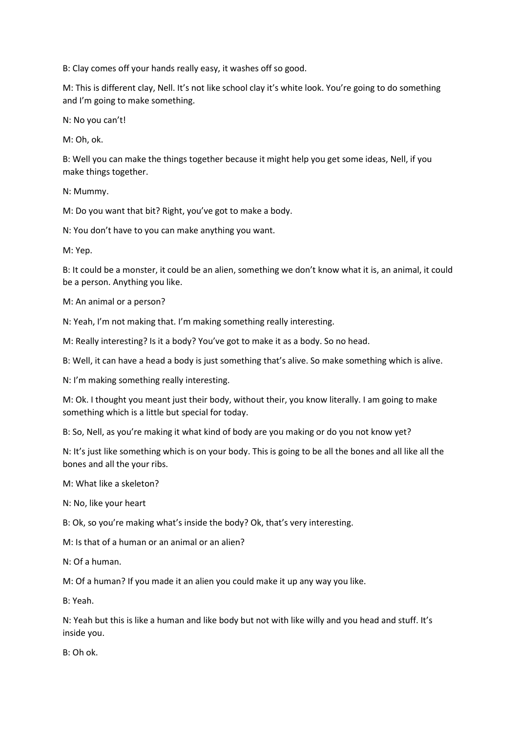B: Clay comes off your hands really easy, it washes off so good.

M: This is different clay, Nell. It's not like school clay it's white look. You're going to do something and I'm going to make something.

N: No you can't!

M: Oh, ok.

B: Well you can make the things together because it might help you get some ideas, Nell, if you make things together.

N: Mummy.

M: Do you want that bit? Right, you've got to make a body.

N: You don't have to you can make anything you want.

M: Yep.

B: It could be a monster, it could be an alien, something we don't know what it is, an animal, it could be a person. Anything you like.

M: An animal or a person?

N: Yeah, I'm not making that. I'm making something really interesting.

M: Really interesting? Is it a body? You've got to make it as a body. So no head.

B: Well, it can have a head a body is just something that's alive. So make something which is alive.

N: I'm making something really interesting.

M: Ok. I thought you meant just their body, without their, you know literally. I am going to make something which is a little but special for today.

B: So, Nell, as you're making it what kind of body are you making or do you not know yet?

N: It's just like something which is on your body. This is going to be all the bones and all like all the bones and all the your ribs.

M: What like a skeleton?

N: No, like your heart

B: Ok, so you're making what's inside the body? Ok, that's very interesting.

M: Is that of a human or an animal or an alien?

N: Of a human.

M: Of a human? If you made it an alien you could make it up any way you like.

B: Yeah.

N: Yeah but this is like a human and like body but not with like willy and you head and stuff. It's inside you.

B: Oh ok.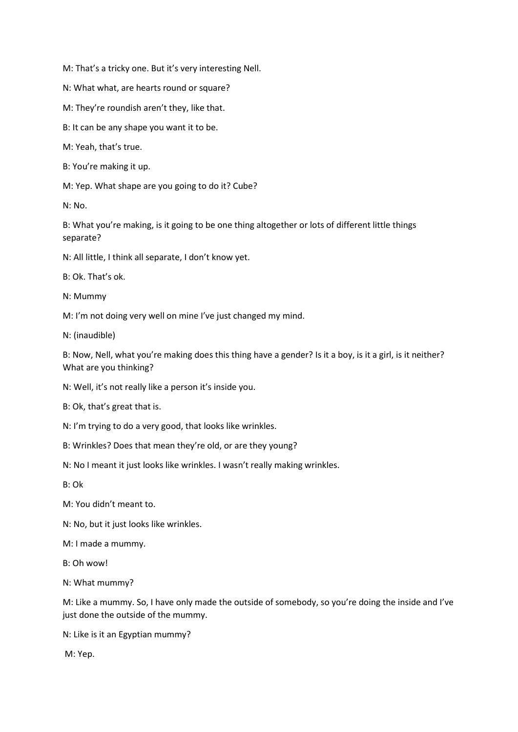M: That's a tricky one. But it's very interesting Nell.

N: What what, are hearts round or square?

M: They're roundish aren't they, like that.

B: It can be any shape you want it to be.

M: Yeah, that's true.

B: You're making it up.

M: Yep. What shape are you going to do it? Cube?

N: No.

B: What you're making, is it going to be one thing altogether or lots of different little things separate?

N: All little, I think all separate, I don't know yet.

B: Ok. That's ok.

N: Mummy

M: I'm not doing very well on mine I've just changed my mind.

N: (inaudible)

B: Now, Nell, what you're making does this thing have a gender? Is it a boy, is it a girl, is it neither? What are you thinking?

N: Well, it's not really like a person it's inside you.

B: Ok, that's great that is.

N: I'm trying to do a very good, that looks like wrinkles.

B: Wrinkles? Does that mean they're old, or are they young?

N: No I meant it just looks like wrinkles. I wasn't really making wrinkles.

B: Ok

M: You didn't meant to.

N: No, but it just looks like wrinkles.

M: I made a mummy.

B: Oh wow!

N: What mummy?

M: Like a mummy. So, I have only made the outside of somebody, so you're doing the inside and I've just done the outside of the mummy.

N: Like is it an Egyptian mummy?

M: Yep.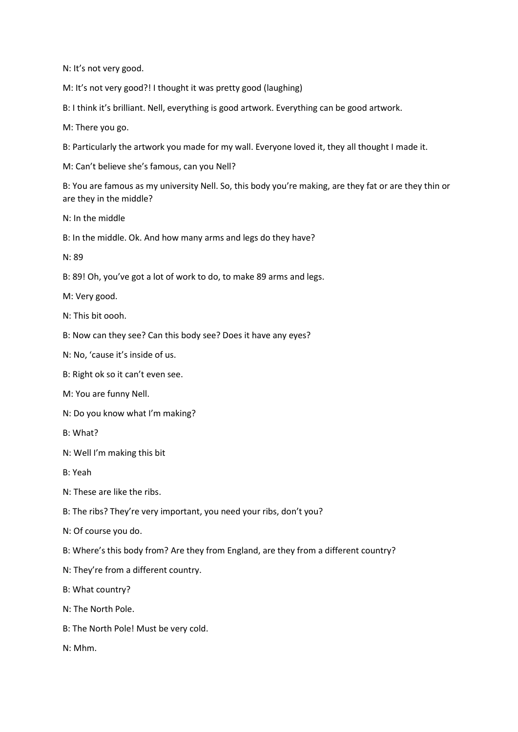N: It's not very good.

M: It's not very good?! I thought it was pretty good (laughing)

B: I think it's brilliant. Nell, everything is good artwork. Everything can be good artwork.

M: There you go.

B: Particularly the artwork you made for my wall. Everyone loved it, they all thought I made it.

M: Can't believe she's famous, can you Nell?

B: You are famous as my university Nell. So, this body you're making, are they fat or are they thin or are they in the middle?

N: In the middle

B: In the middle. Ok. And how many arms and legs do they have?

N: 89

B: 89! Oh, you've got a lot of work to do, to make 89 arms and legs.

M: Very good.

N: This bit oooh.

B: Now can they see? Can this body see? Does it have any eyes?

N: No, 'cause it's inside of us.

B: Right ok so it can't even see.

M: You are funny Nell.

N: Do you know what I'm making?

B: What?

N: Well I'm making this bit

B: Yeah

 $N:$  These are like the ribs.

B: The ribs? They're very important, you need your ribs, don't you?

N: Of course you do.

B: Where's this body from? Are they from England, are they from a different country?

N: They're from a different country.

B: What country?

N: The North Pole.

B: The North Pole! Must be very cold.

N: Mhm.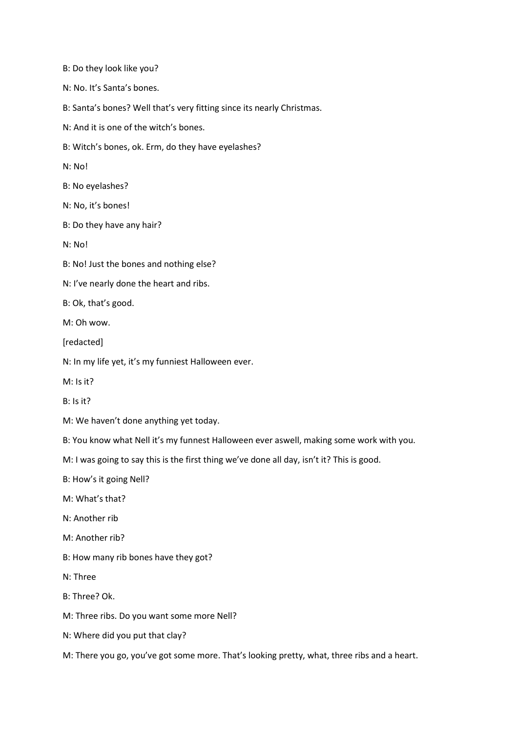B: Do they look like you? N: No. It's Santa's bones. B: Santa's bones? Well that's very fitting since its nearly Christmas. N: And it is one of the witch's bones. B: Witch's bones, ok. Erm, do they have eyelashes? N: No! B: No eyelashes? N: No, it's bones! B: Do they have any hair? N: No! B: No! Just the bones and nothing else? N: I've nearly done the heart and ribs. B: Ok, that's good. M: Oh wow. [redacted] N: In my life yet, it's my funniest Halloween ever. M: Is it? B: Is it? M: We haven't done anything yet today. B: You know what Nell it's my funnest Halloween ever aswell, making some work with you. M: I was going to say this is the first thing we've done all day, isn't it? This is good. B: How's it going Nell? M: What's that? N: Another rib M: Another rib? B: How many rib bones have they got? N: Three B: Three? Ok. M: Three ribs. Do you want some more Nell? N: Where did you put that clay?

M: There you go, you've got some more. That's looking pretty, what, three ribs and a heart.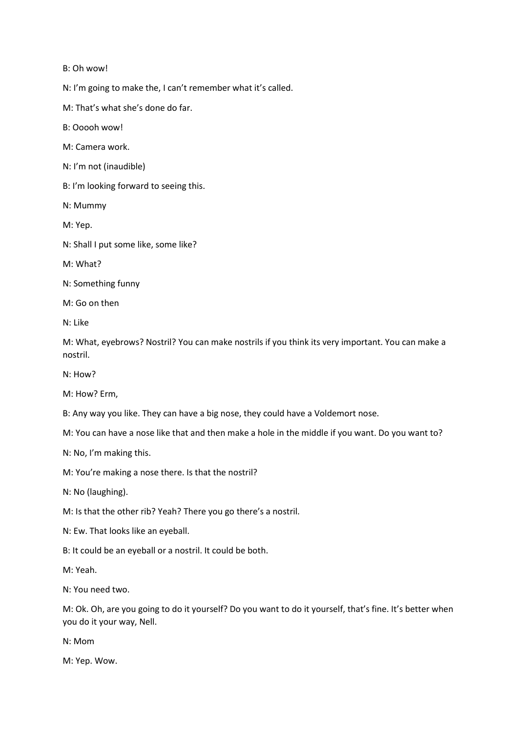B: Oh wow!

N: I'm going to make the, I can't remember what it's called.

M: That's what she's done do far.

B: Ooooh wow!

M: Camera work.

N: I'm not (inaudible)

B: I'm looking forward to seeing this.

N: Mummy

M: Yep.

N: Shall I put some like, some like?

M: What?

N: Something funny

M: Go on then

N: Like

M: What, eyebrows? Nostril? You can make nostrils if you think its very important. You can make a nostril.

N: How?

M: How? Erm,

B: Any way you like. They can have a big nose, they could have a Voldemort nose.

M: You can have a nose like that and then make a hole in the middle if you want. Do you want to?

N: No, I'm making this.

M: You're making a nose there. Is that the nostril?

N: No (laughing).

M: Is that the other rib? Yeah? There you go there's a nostril.

N: Ew. That looks like an eyeball.

B: It could be an eyeball or a nostril. It could be both.

M: Yeah.

N: You need two.

M: Ok. Oh, are you going to do it yourself? Do you want to do it yourself, that's fine. It's better when you do it your way, Nell.

N: Mom

M: Yep. Wow.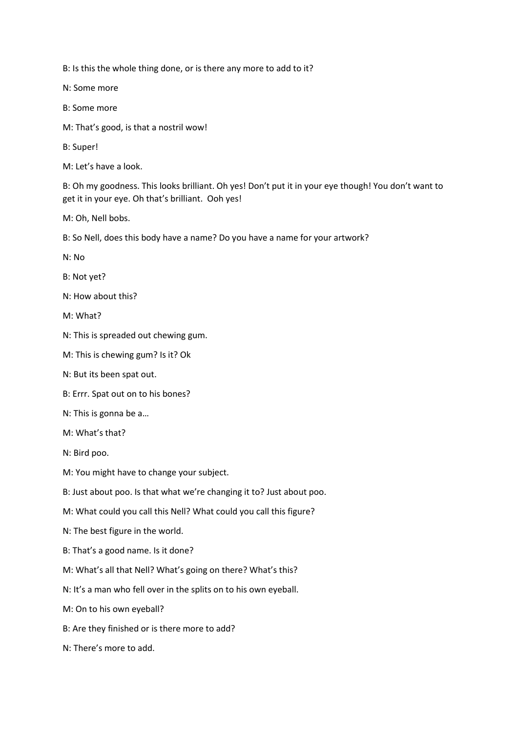B: Is this the whole thing done, or is there any more to add to it?

N: Some more

B: Some more

M: That's good, is that a nostril wow!

B: Super!

M: Let's have a look.

B: Oh my goodness. This looks brilliant. Oh yes! Don't put it in your eye though! You don't want to get it in your eye. Oh that's brilliant. Ooh yes!

M: Oh, Nell bobs.

B: So Nell, does this body have a name? Do you have a name for your artwork?

N: No

B: Not yet?

N: How about this?

M: What?

N: This is spreaded out chewing gum.

M: This is chewing gum? Is it? Ok

N: But its been spat out.

B: Errr. Spat out on to his bones?

N: This is gonna be a…

M: What's that?

N: Bird poo.

M: You might have to change your subject.

B: Just about poo. Is that what we're changing it to? Just about poo.

M: What could you call this Nell? What could you call this figure?

N: The best figure in the world.

B: That's a good name. Is it done?

M: What's all that Nell? What's going on there? What's this?

N: It's a man who fell over in the splits on to his own eyeball.

M: On to his own eyeball?

B: Are they finished or is there more to add?

N: There's more to add.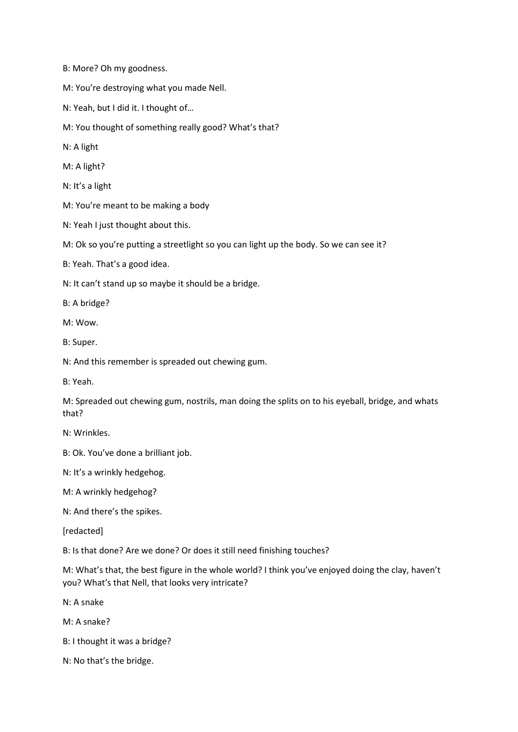B: More? Oh my goodness.

M: You're destroying what you made Nell.

N: Yeah, but I did it. I thought of…

M: You thought of something really good? What's that?

N: A light

M: A light?

N: It's a light

M: You're meant to be making a body

N: Yeah I just thought about this.

M: Ok so you're putting a streetlight so you can light up the body. So we can see it?

B: Yeah. That's a good idea.

N: It can't stand up so maybe it should be a bridge.

B: A bridge?

M: Wow.

B: Super.

N: And this remember is spreaded out chewing gum.

B: Yeah.

M: Spreaded out chewing gum, nostrils, man doing the splits on to his eyeball, bridge, and whats that?

N: Wrinkles.

B: Ok. You've done a brilliant job.

N: It's a wrinkly hedgehog.

M: A wrinkly hedgehog?

N: And there's the spikes.

[redacted]

B: Is that done? Are we done? Or does it still need finishing touches?

M: What's that, the best figure in the whole world? I think you've enjoyed doing the clay, haven't you? What's that Nell, that looks very intricate?

N: A snake

M: A snake?

B: I thought it was a bridge?

N: No that's the bridge.